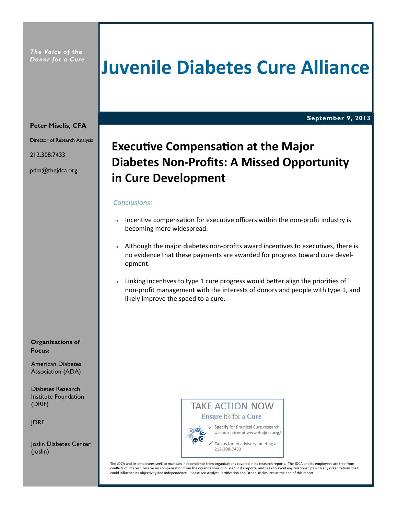The Voice of the Donor for a Cure

# Juvenile Diabetes Cure Alliance

September 9, 2013

#### Peter Miselis, CFA

Director of Research Analysis

212.308.7433

pdm@thejdca.org

## Executive Compensation at the Major Diabetes Non-Profits: A Missed Opportunity in Cure Development

#### Conclusions:

- $\rightarrow$  Incentive compensation for executive officers within the non-profit industry is becoming more widespread.
- $\rightarrow$  Although the major diabetes non-profits award incentives to executives, there is no evidence that these payments are awarded for progress toward cure development.
- $\rightarrow$  Linking incentives to type 1 cure progress would better align the priorities of non-profit management with the interests of donors and people with type 1, and likely improve the speed to a cure.

#### Organizations of Focus:

American Diabetes Association (ADA)

Diabetes Research Institute Foundation (DRIF)

JDRF

Joslin Diabetes Center (Joslin)

### **TAKE ACTION NOW** Ensure it's for a Cure



√ Specify for Practical Cure research. Use our letter at www.thejdca.org/

Call us for an advisory meeting at 212-308-7433

The JDCA and its employees seek to maintain independence from organizations covered in its research reports. The JDCA and its employees are free from conflicts of interest, receive no compensation from the organizations discussed in its reports, and seek to avoid any relationships with any organizations that could influence its objectivity and independence. Please see Analyst Certification and Other Disclosures at the end of this report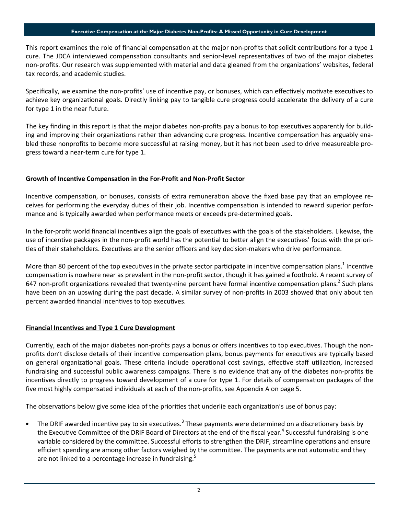#### Executive Compensation at the Major Diabetes Non-Profits: A Missed Opportunity in Cure Development

This report examines the role of financial compensation at the major non-profits that solicit contributions for a type 1 cure. The JDCA interviewed compensation consultants and senior-level representatives of two of the major diabetes non-profits. Our research was supplemented with material and data gleaned from the organizations' websites, federal tax records, and academic studies.

Specifically, we examine the non-profits' use of incentive pay, or bonuses, which can effectively motivate executives to achieve key organizational goals. Directly linking pay to tangible cure progress could accelerate the delivery of a cure for type 1 in the near future.

The key finding in this report is that the major diabetes non-profits pay a bonus to top executives apparently for building and improving their organizations rather than advancing cure progress. Incentive compensation has arguably enabled these nonprofits to become more successful at raising money, but it has not been used to drive measureable progress toward a near-term cure for type 1.

#### Growth of Incentive Compensation in the For-Profit and Non-Profit Sector

Incentive compensation, or bonuses, consists of extra remuneration above the fixed base pay that an employee receives for performing the everyday duties of their job. Incentive compensation is intended to reward superior performance and is typically awarded when performance meets or exceeds pre-determined goals.

In the for-profit world financial incentives align the goals of executives with the goals of the stakeholders. Likewise, the use of incentive packages in the non-profit world has the potential to better align the executives' focus with the priorities of their stakeholders. Executives are the senior officers and key decision-makers who drive performance.

More than 80 percent of the top executives in the private sector participate in incentive compensation plans.<sup>1</sup> Incentive compensation is nowhere near as prevalent in the non-profit sector, though it has gained a foothold. A recent survey of 647 non-profit organizations revealed that twenty-nine percent have formal incentive compensation plans.<sup>2</sup> Such plans have been on an upswing during the past decade. A similar survey of non-profits in 2003 showed that only about ten percent awarded financial incentives to top executives.

#### **Financial Incentives and Type 1 Cure Development**

Currently, each of the major diabetes non-profits pays a bonus or offers incentives to top executives. Though the nonprofits don't disclose details of their incentive compensation plans, bonus payments for executives are typically based on general organizational goals. These criteria include operational cost savings, effective staff utilization, increased fundraising and successful public awareness campaigns. There is no evidence that any of the diabetes non-profits tie incentives directly to progress toward development of a cure for type 1. For details of compensation packages of the five most highly compensated individuals at each of the non-profits, see Appendix A on page 5.

The observations below give some idea of the priorities that underlie each organization's use of bonus pay:

• The DRIF awarded incentive pay to six executives.<sup>3</sup> These payments were determined on a discretionary basis by the Executive Committee of the DRIF Board of Directors at the end of the fiscal year.<sup>4</sup> Successful fundraising is one variable considered by the committee. Successful efforts to strengthen the DRIF, streamline operations and ensure efficient spending are among other factors weighed by the committee. The payments are not automatic and they are not linked to a percentage increase in fundraising.<sup>5</sup>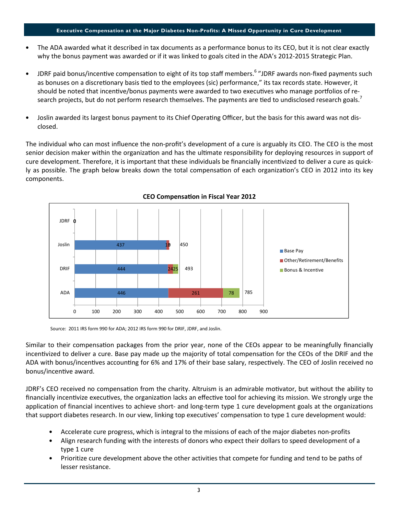#### Executive Compensation at the Major Diabetes Non-Profits: A Missed Opportunity in Cure Development

- The ADA awarded what it described in tax documents as a performance bonus to its CEO, but it is not clear exactly why the bonus payment was awarded or if it was linked to goals cited in the ADA's 2012-2015 Strategic Plan.
- JDRF paid bonus/incentive compensation to eight of its top staff members.<sup>6</sup> "JDRF awards non-fixed payments such as bonuses on a discretionary basis tied to the employees (sic) performance," its tax records state. However, it should be noted that incentive/bonus payments were awarded to two executives who manage portfolios of research projects, but do not perform research themselves. The payments are tied to undisclosed research goals.<sup>7</sup>
- Joslin awarded its largest bonus payment to its Chief Operating Officer, but the basis for this award was not disclosed.

The individual who can most influence the non-profit's development of a cure is arguably its CEO. The CEO is the most senior decision maker within the organization and has the ultimate responsibility for deploying resources in support of cure development. Therefore, it is important that these individuals be financially incentivized to deliver a cure as quickly as possible. The graph below breaks down the total compensation of each organization's CEO in 2012 into its key components.



CEO Compensation in Fiscal Year 2012

Source: 2011 IRS form 990 for ADA; 2012 IRS form 990 for DRIF, JDRF, and Joslin.

Similar to their compensation packages from the prior year, none of the CEOs appear to be meaningfully financially incentivized to deliver a cure. Base pay made up the majority of total compensation for the CEOs of the DRIF and the ADA with bonus/incentives accounting for 6% and 17% of their base salary, respectively. The CEO of Joslin received no bonus/incentive award.

JDRF's CEO received no compensation from the charity. Altruism is an admirable motivator, but without the ability to financially incentivize executives, the organization lacks an effective tool for achieving its mission. We strongly urge the application of financial incentives to achieve short- and long-term type 1 cure development goals at the organizations that support diabetes research. In our view, linking top executives' compensation to type 1 cure development would:

- Accelerate cure progress, which is integral to the missions of each of the major diabetes non-profits
- Align research funding with the interests of donors who expect their dollars to speed development of a type 1 cure
- Prioritize cure development above the other activities that compete for funding and tend to be paths of lesser resistance.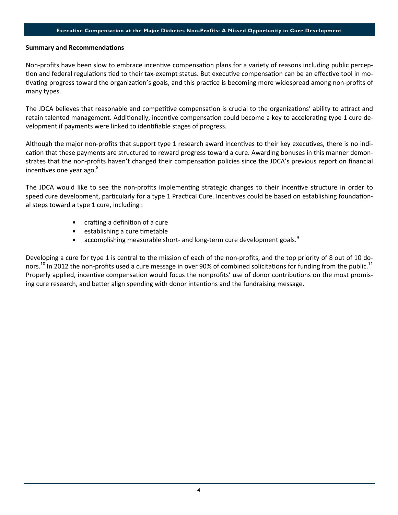#### **Summary and Recommendations**

Non-profits have been slow to embrace incentive compensation plans for a variety of reasons including public perception and federal regulations tied to their tax-exempt status. But executive compensation can be an effective tool in motivating progress toward the organization's goals, and this practice is becoming more widespread among non-profits of many types.

The JDCA believes that reasonable and competitive compensation is crucial to the organizations' ability to attract and retain talented management. Additionally, incentive compensation could become a key to accelerating type 1 cure development if payments were linked to idenfiable stages of progress.

Although the major non-profits that support type 1 research award incentives to their key executives, there is no indication that these payments are structured to reward progress toward a cure. Awarding bonuses in this manner demonstrates that the non-profits haven't changed their compensation policies since the JDCA's previous report on financial incentives one year ago.<sup>8</sup>

The JDCA would like to see the non-profits implementing strategic changes to their incentive structure in order to speed cure development, particularly for a type 1 Practical Cure. Incentives could be based on establishing foundational steps toward a type 1 cure, including :

- crafting a definition of a cure
- $\bullet$  establishing a cure timetable
- accomplishing measurable short- and long-term cure development goals.<sup>9</sup>

Developing a cure for type 1 is central to the mission of each of the non-profits, and the top priority of 8 out of 10 donors.<sup>10</sup> In 2012 the non-profits used a cure message in over 90% of combined solicitations for funding from the public.<sup>11</sup> Properly applied, incentive compensation would focus the nonprofits' use of donor contributions on the most promising cure research, and better align spending with donor intentions and the fundraising message.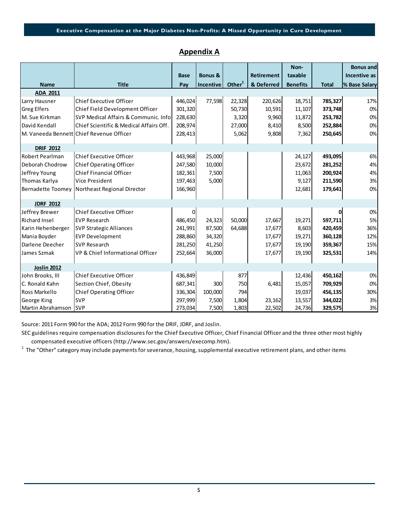### Appendix A

|                          |                                          | <b>Base</b> | <b>Bonus &amp;</b> |                    | <b>Retirement</b> | Non-<br>taxable |              | <b>Bonus and</b><br>Incentive as |
|--------------------------|------------------------------------------|-------------|--------------------|--------------------|-------------------|-----------------|--------------|----------------------------------|
| <b>Name</b>              | <b>Title</b>                             | Pay         | Incentive          | Other <sup>1</sup> | & Deferred        | <b>Benefits</b> | <b>Total</b> | % Base Salary                    |
| ADA 2011                 |                                          |             |                    |                    |                   |                 |              |                                  |
| Larry Hausner            | <b>Chief Executive Officer</b>           | 446,024     | 77,598             | 22,328             | 220,626           | 18,751          | 785,327      | 17%                              |
| <b>Greg Elfers</b>       | Chief Field Development Officer          | 301,320     |                    | 50,730             | 10,591            | 11,107          | 373,748      | 0%                               |
| M. Sue Kirkman           | SVP Medical Affairs & Communic. Info     | 228,630     |                    | 3,320              | 9,960             | 11,872          | 253,782      | 0%                               |
| David Kendall            | Chief Scientific & Medical Affairs Off.  | 208,974     |                    | 27,000             | 8,410             | 8,500           | 252,884      | 0%                               |
|                          | M. Vaneeda Bennett Chief Revenue Officer | 228,413     |                    | 5,062              | 9,808             | 7,362           | 250,645      | 0%                               |
| <b>DRIF 2012</b>         |                                          |             |                    |                    |                   |                 |              |                                  |
| <b>Robert Pearlman</b>   | <b>Chief Executive Officer</b>           | 443,968     | 25,000             |                    |                   | 24,127          | 493,095      | 6%                               |
| Deborah Chodrow          | <b>Chief Operating Officer</b>           | 247,580     | 10,000             |                    |                   | 23,672          | 281,252      | 4%                               |
| Jeffrey Young            | <b>Chief Financial Officer</b>           | 182,361     | 7,500              |                    |                   | 11,063          | 200,924      | 4%                               |
| Thomas Karlya            | Vice President                           | 197,463     | 5,000              |                    |                   | 9,127           | 211,590      | 3%                               |
| <b>Bernadette Toomey</b> | Northeast Regional Director              | 166,960     |                    |                    |                   | 12,681          | 179,641      | 0%                               |
| <b>JDRF 2012</b>         |                                          |             |                    |                    |                   |                 |              |                                  |
| Jeffrey Brewer           | <b>Chief Executive Officer</b>           | 0           |                    |                    |                   |                 |              | 0%                               |
| <b>Richard Insel</b>     | <b>EVP Research</b>                      | 486,450     | 24,323             | 50,000             | 17,667            | 19,271          | 597,711      | 5%                               |
| Karin Hehenberger        | <b>SVP Strategic Alliances</b>           | 241,991     | 87,500             | 64,688             | 17,677            | 8,603           | 420,459      | 36%                              |
| Mania Boyder             | <b>EVP Development</b>                   | 288,860     | 34,320             |                    | 17,677            | 19,271          | 360,128      | 12%                              |
| Darlene Deecher          | <b>SVP Research</b>                      | 281,250     | 41,250             |                    | 17,677            | 19,190          | 359,367      | 15%                              |
| James Szmak              | VP & Chief Informational Officer         | 252,664     | 36,000             |                    | 17,677            | 19,190          | 325,531      | 14%                              |
| <b>Joslin 2012</b>       |                                          |             |                    |                    |                   |                 |              |                                  |
| John Brooks, III         | <b>Chief Executive Officer</b>           | 436,849     |                    | 877                |                   | 12,436          | 450,162      | 0%                               |
| C. Ronald Kahn           | Section Chief, Obesity                   | 687,341     | 300                | 750                | 6,481             | 15,057          | 709,929      | 0%                               |
| Ross Markello            | <b>Chief Operating Officer</b>           | 336,304     | 100,000            | 794                |                   | 19,037          | 456,135      | 30%                              |
| <b>George King</b>       | <b>SVP</b>                               | 297,999     | 7,500              | 1,804              | 23,162            | 13,557          | 344,022      | 3%                               |
| Martin Abrahamson SVP    |                                          | 273,034     | 7,500              | 1,803              | 22,502            | 24,736          | 329,575      | 3%                               |

Source: 2011 Form 990 for the ADA; 2012 Form 990 for the DRIF, JDRF, and Joslin.

SEC guidelines require compensation disclosures for the Chief Executive Officer, Chief Financial Officer and the three other most highly compensated executive officers (http://www.sec.gov/answers/execomp.htm).

 $^1$  The "Other" category may include payments for severance, housing, supplemental executive retirement plans, and other items